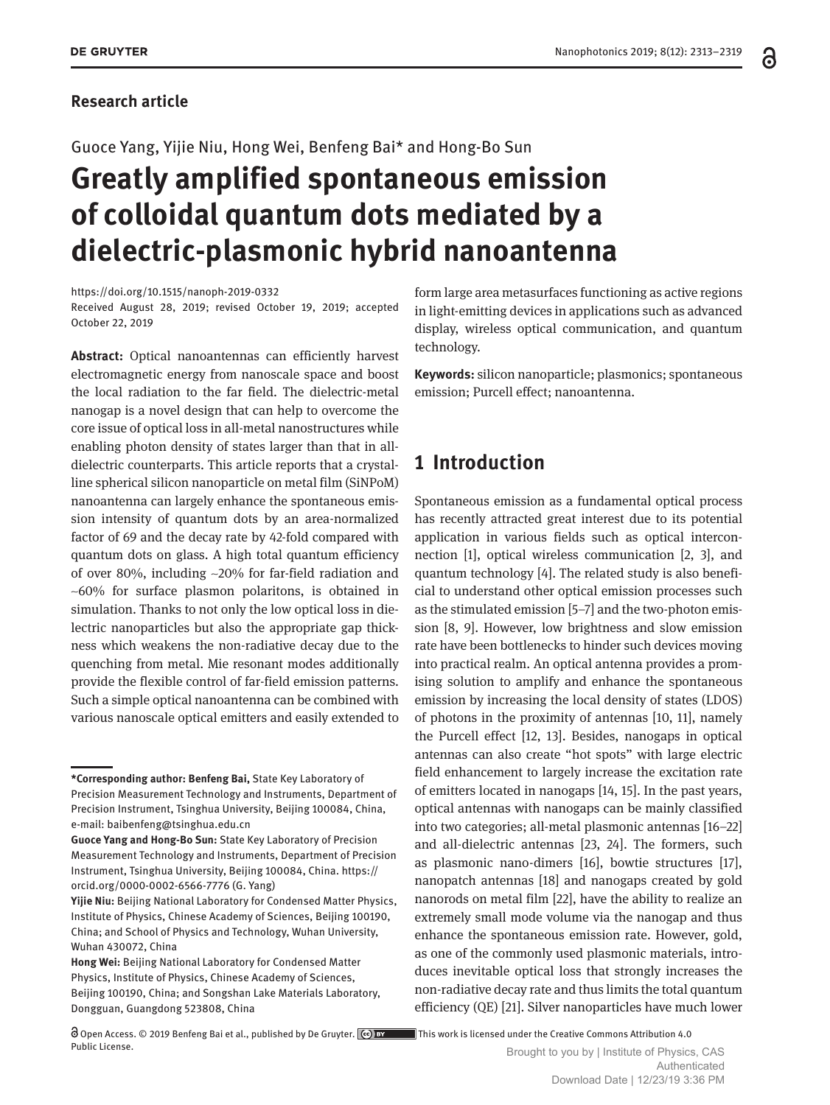#### **Research article**

#### Guoce Yang, Yijie Niu, Hong Wei, Benfeng Bai\* and Hong-Bo Sun

# **Greatly amplified spontaneous emission of colloidal quantum dots mediated by a dielectric-plasmonic hybrid nanoantenna**

#### <https://doi.org/10.1515/nanoph-2019-0332>

Received August 28, 2019; revised October 19, 2019; accepted October 22, 2019

**Abstract:** Optical nanoantennas can efficiently harvest electromagnetic energy from nanoscale space and boost the local radiation to the far field. The dielectric-metal nanogap is a novel design that can help to overcome the core issue of optical loss in all-metal nanostructures while enabling photon density of states larger than that in alldielectric counterparts. This article reports that a crystalline spherical silicon nanoparticle on metal film (SiNPoM) nanoantenna can largely enhance the spontaneous emission intensity of quantum dots by an area-normalized factor of 69 and the decay rate by 42-fold compared with quantum dots on glass. A high total quantum efficiency of over 80%, including ~20% for far-field radiation and  $~100\%$  for surface plasmon polaritons, is obtained in simulation. Thanks to not only the low optical loss in dielectric nanoparticles but also the appropriate gap thickness which weakens the non-radiative decay due to the quenching from metal. Mie resonant modes additionally provide the flexible control of far-field emission patterns. Such a simple optical nanoantenna can be combined with various nanoscale optical emitters and easily extended to

form large area metasurfaces functioning as active regions in light-emitting devices in applications such as advanced display, wireless optical communication, and quantum technology.

**Keywords:** silicon nanoparticle; plasmonics; spontaneous emission; Purcell effect; nanoantenna.

### **1 Introduction**

Spontaneous emission as a fundamental optical process has recently attracted great interest due to its potential application in various fields such as optical interconnection [1], optical wireless communication [2, 3], and quantum technology [4]. The related study is also beneficial to understand other optical emission processes such as the stimulated emission [5–7] and the two-photon emission [8, 9]. However, low brightness and slow emission rate have been bottlenecks to hinder such devices moving into practical realm. An optical antenna provides a promising solution to amplify and enhance the spontaneous emission by increasing the local density of states (LDOS) of photons in the proximity of antennas [10, 11], namely the Purcell effect [12, 13]. Besides, nanogaps in optical antennas can also create "hot spots" with large electric field enhancement to largely increase the excitation rate of emitters located in nanogaps [14, 15]. In the past years, optical antennas with nanogaps can be mainly classified into two categories; all-metal plasmonic antennas [16–22] and all-dielectric antennas [23, 24]. The formers, such as plasmonic nano-dimers [16], bowtie structures [17], nanopatch antennas [18] and nanogaps created by gold nanorods on metal film [22], have the ability to realize an extremely small mode volume via the nanogap and thus enhance the spontaneous emission rate. However, gold, as one of the commonly used plasmonic materials, introduces inevitable optical loss that strongly increases the non-radiative decay rate and thus limits the total quantum efficiency (QE) [21]. Silver nanoparticles have much lower

**<sup>\*</sup>Corresponding author: Benfeng Bai,** State Key Laboratory of Precision Measurement Technology and Instruments, Department of Precision Instrument, Tsinghua University, Beijing 100084, China, e-mail: [baibenfeng@tsinghua.edu.cn](mailto:baibenfeng@tsinghua.edu.cn)

**Guoce Yang and Hong-Bo Sun:** State Key Laboratory of Precision Measurement Technology and Instruments, Department of Precision Instrument, Tsinghua University, Beijing 100084, China. [https://](https://orcid.org/0000-0002-6566-7776) [orcid.org/0000-0002-6566-7776](https://orcid.org/0000-0002-6566-7776) (G. Yang)

**Yijie Niu:** Beijing National Laboratory for Condensed Matter Physics, Institute of Physics, Chinese Academy of Sciences, Beijing 100190, China; and School of Physics and Technology, Wuhan University, Wuhan 430072, China

**Hong Wei:** Beijing National Laboratory for Condensed Matter Physics, Institute of Physics, Chinese Academy of Sciences, Beijing 100190, China; and Songshan Lake Materials Laboratory, Dongguan, Guangdong 523808, China

Open Access. © 2019 Benfeng Bai et al., published by De Gruyter. This work is licensed under the Creative Commons Attribution 4.0 Public License.<br>Brought to you by | Institute of Physics, CAS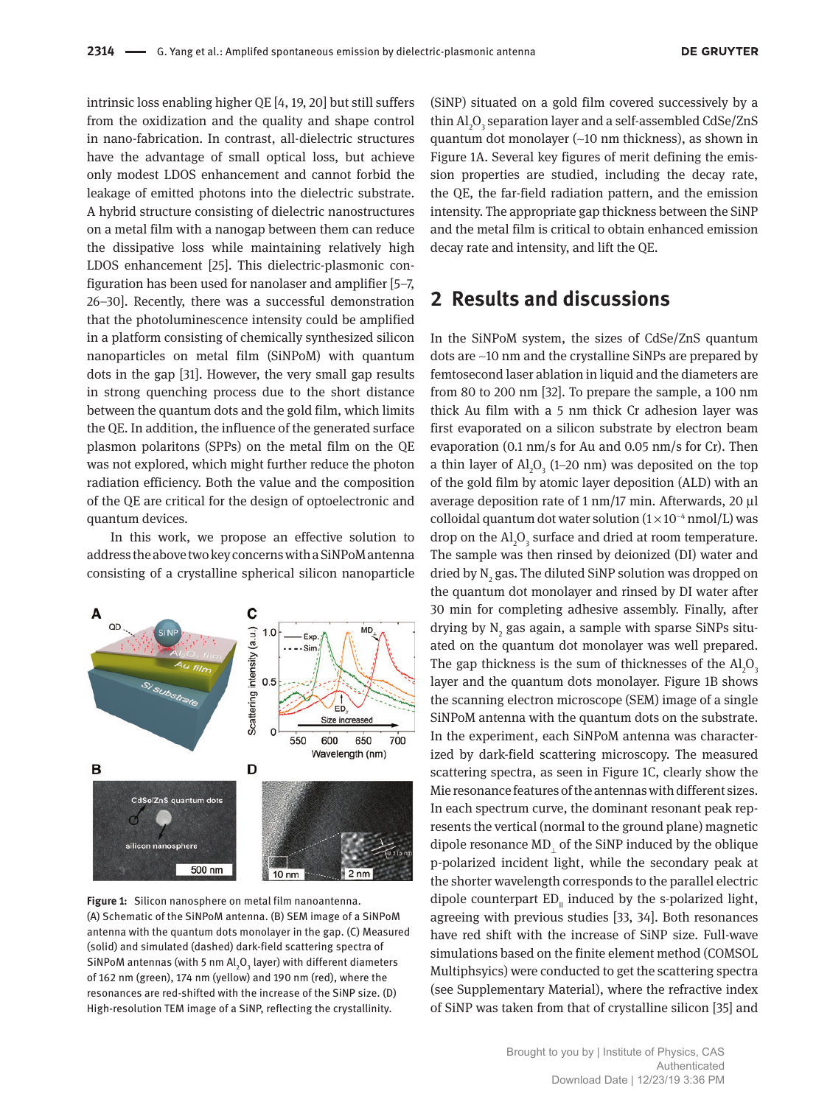intrinsic loss enabling higher QE [4, 19, 20] but still suffers from the oxidization and the quality and shape control in nano-fabrication. In contrast, all-dielectric structures have the advantage of small optical loss, but achieve only modest LDOS enhancement and cannot forbid the leakage of emitted photons into the dielectric substrate. A hybrid structure consisting of dielectric nanostructures on a metal film with a nanogap between them can reduce the dissipative loss while maintaining relatively high LDOS enhancement [25]. This dielectric-plasmonic configuration has been used for nanolaser and amplifier [5–7, 26–30]. Recently, there was a successful demonstration that the photoluminescence intensity could be amplified in a platform consisting of chemically synthesized silicon nanoparticles on metal film (SiNPoM) with quantum dots in the gap [31]. However, the very small gap results in strong quenching process due to the short distance between the quantum dots and the gold film, which limits the QE. In addition, the influence of the generated surface plasmon polaritons (SPPs) on the metal film on the QE was not explored, which might further reduce the photon radiation efficiency. Both the value and the composition of the QE are critical for the design of optoelectronic and quantum devices.

In this work, we propose an effective solution to address the above two key concerns with a SiNPoM antenna consisting of a crystalline spherical silicon nanoparticle



**Figure 1:** Silicon nanosphere on metal film nanoantenna. (A) Schematic of the SiNPoM antenna. (B) SEM image of a SiNPoM antenna with the quantum dots monolayer in the gap. (C) Measured (solid) and simulated (dashed) dark-field scattering spectra of SiNPoM antennas (with 5 nm Al $_{2}$ O $_{3}$  layer) with different diameters of 162 nm (green), 174 nm (yellow) and 190 nm (red), where the resonances are red-shifted with the increase of the SiNP size. (D) High-resolution TEM image of a SiNP, reflecting the crystallinity.

(SiNP) situated on a gold film covered successively by a thin  $\mathrm{Al}_2\mathrm{O}_3$  separation layer and a self-assembled CdSe/ZnS quantum dot monolayer (~10 nm thickness), as shown in Figure 1A. Several key figures of merit defining the emission properties are studied, including the decay rate, the QE, the far-field radiation pattern, and the emission intensity. The appropriate gap thickness between the SiNP and the metal film is critical to obtain enhanced emission decay rate and intensity, and lift the QE.

#### **2 Results and discussions**

In the SiNPoM system, the sizes of CdSe/ZnS quantum dots are ~10 nm and the crystalline SiNPs are prepared by femtosecond laser ablation in liquid and the diameters are from 80 to 200 nm [32]. To prepare the sample, a 100 nm thick Au film with a 5 nm thick Cr adhesion layer was first evaporated on a silicon substrate by electron beam evaporation (0.1 nm/s for Au and 0.05 nm/s for Cr). Then a thin layer of  $\text{Al}_2\text{O}_3$  (1–20 nm) was deposited on the top of the gold film by atomic layer deposition (ALD) with an average deposition rate of 1 nm/17 min. Afterwards, 20 μl colloidal quantum dot water solution  $(1\times10^{-4} \text{ nmol/L})$  was drop on the  $\mathrm{Al}_2\mathrm{O}_3$  surface and dried at room temperature. The sample was then rinsed by deionized (DI) water and dried by  $\text{N}_{\text{2}}$  gas. The diluted SiNP solution was dropped on the quantum dot monolayer and rinsed by DI water after 30 min for completing adhesive assembly. Finally, after drying by  $\mathrm{N}_\mathrm{2}$  gas again, a sample with sparse SiNPs situated on the quantum dot monolayer was well prepared. The gap thickness is the sum of thicknesses of the  $\text{Al}_2\text{O}_3$ layer and the quantum dots monolayer. Figure 1B shows the scanning electron microscope (SEM) image of a single SiNPoM antenna with the quantum dots on the substrate. In the experiment, each SiNPoM antenna was characterized by dark-field scattering microscopy. The measured scattering spectra, as seen in Figure 1C, clearly show the Mie resonance features of the antennas with different sizes. In each spectrum curve, the dominant resonant peak represents the vertical (normal to the ground plane) magnetic dipole resonance MD⊥ of the SiNP induced by the oblique p-polarized incident light, while the secondary peak at the shorter wavelength corresponds to the parallel electric dipole counterpart  $ED_{\parallel}$  induced by the s-polarized light, agreeing with previous studies [33, 34]. Both resonances have red shift with the increase of SiNP size. Full-wave simulations based on the finite element method (COMSOL Multiphsyics) were conducted to get the scattering spectra (see Supplementary Material), where the refractive index of SiNP was taken from that of crystalline silicon [35] and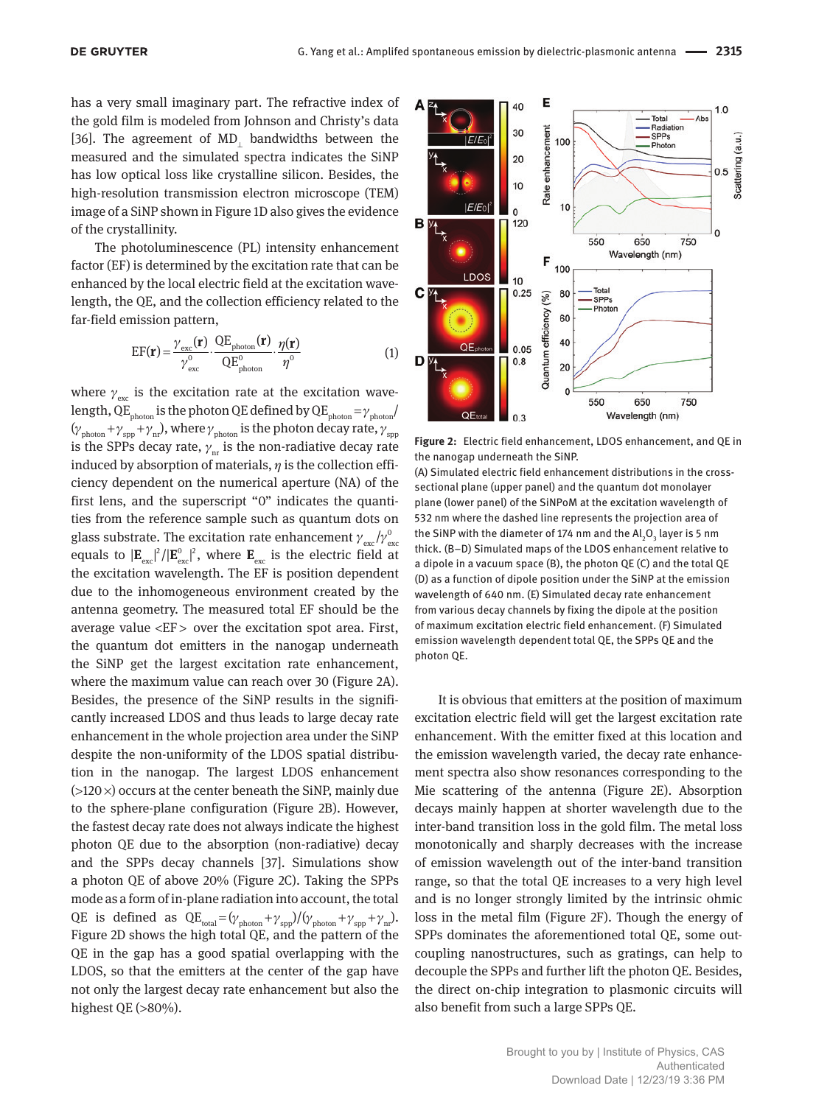has a very small imaginary part. The refractive index of the gold film is modeled from Johnson and Christy's data [36]. The agreement of MD<sub>i</sub> bandwidths between the measured and the simulated spectra indicates the SiNP has low optical loss like crystalline silicon. Besides, the high-resolution transmission electron microscope (TEM) image of a SiNP shown in Figure 1D also gives the evidence of the crystallinity.

The photoluminescence (PL) intensity enhancement factor (EF) is determined by the excitation rate that can be enhanced by the local electric field at the excitation wavelength, the QE, and the collection efficiency related to the far-field emission pattern,

$$
EF(\mathbf{r}) = \frac{\gamma_{\text{exc}}(\mathbf{r})}{\gamma_{\text{exc}}^0} \cdot \frac{QE_{\text{photon}}(\mathbf{r})}{QE_{\text{photon}}^0} \cdot \frac{\eta(\mathbf{r})}{\eta^0}
$$
(1)

where  $\gamma_{\text{esc}}$  is the excitation rate at the excitation wavelength, QE<sub>photon</sub> is the photon QE defined by QE<sub>photon</sub> =  $\gamma$ <sub>photon</sub>/  $(\gamma_{\rm photon} + \gamma_{\rm spp} + \gamma_{\rm nr})$ , where  $\gamma_{\rm photon}$  is the photon decay rate,  $\gamma_{\rm spp}$ is the SPPs decay rate,  $\gamma_{\textrm{\tiny nr}}$  is the non-radiative decay rate induced by absorption of materials,  $\eta$  is the collection efficiency dependent on the numerical aperture (NA) of the first lens, and the superscript "0" indicates the quantities from the reference sample such as quantum dots on glass substrate. The excitation rate enhancement  $\gamma_{\rm exc}/\gamma_{\rm exc}^0$ equals to  $|\mathbf{E}_{\text{exc}}|^2/|\mathbf{E}_{\text{exc}}^0|^2$ , where  $\mathbf{E}_{\text{exc}}$  is the electric field at the excitation wavelength. The EF is position dependent due to the inhomogeneous environment created by the antenna geometry. The measured total EF should be the average value <EF >  over the excitation spot area. First, the quantum dot emitters in the nanogap underneath the SiNP get the largest excitation rate enhancement, where the maximum value can reach over 30 (Figure 2A). Besides, the presence of the SiNP results in the significantly increased LDOS and thus leads to large decay rate enhancement in the whole projection area under the SiNP despite the non-uniformity of the LDOS spatial distribution in the nanogap. The largest LDOS enhancement  $(>120 \times)$  occurs at the center beneath the SiNP, mainly due to the sphere-plane configuration (Figure 2B). However, the fastest decay rate does not always indicate the highest photon QE due to the absorption (non-radiative) decay and the SPPs decay channels [37]. Simulations show a photon QE of above 20% (Figure 2C). Taking the SPPs mode as a form of in-plane radiation into account, the total QE is defined as  $QE_{total} = (\gamma_{photon} + \gamma_{spp})/(\gamma_{photon} + \gamma_{spp} + \gamma_{nr}).$ Figure 2D shows the high total QE, and the pattern of the QE in the gap has a good spatial overlapping with the LDOS, so that the emitters at the center of the gap have not only the largest decay rate enhancement but also the highest QE  $(>80\%)$ .



**Figure 2:** Electric field enhancement, LDOS enhancement, and QE in the nanogap underneath the SiNP.

(A) Simulated electric field enhancement distributions in the crosssectional plane (upper panel) and the quantum dot monolayer plane (lower panel) of the SiNPoM at the excitation wavelength of 532 nm where the dashed line represents the projection area of the SiNP with the diameter of 174 nm and the Al $_2$ O $_3$  layer is 5 nm thick. (B–D) Simulated maps of the LDOS enhancement relative to a dipole in a vacuum space (B), the photon QE (C) and the total QE (D) as a function of dipole position under the SiNP at the emission wavelength of 640 nm. (E) Simulated decay rate enhancement from various decay channels by fixing the dipole at the position of maximum excitation electric field enhancement. (F) Simulated emission wavelength dependent total QE, the SPPs QE and the photon QE.

It is obvious that emitters at the position of maximum excitation electric field will get the largest excitation rate enhancement. With the emitter fixed at this location and the emission wavelength varied, the decay rate enhancement spectra also show resonances corresponding to the Mie scattering of the antenna (Figure 2E). Absorption decays mainly happen at shorter wavelength due to the inter-band transition loss in the gold film. The metal loss monotonically and sharply decreases with the increase of emission wavelength out of the inter-band transition range, so that the total QE increases to a very high level and is no longer strongly limited by the intrinsic ohmic loss in the metal film (Figure 2F). Though the energy of SPPs dominates the aforementioned total QE, some outcoupling nanostructures, such as gratings, can help to decouple the SPPs and further lift the photon QE. Besides, the direct on-chip integration to plasmonic circuits will also benefit from such a large SPPs QE.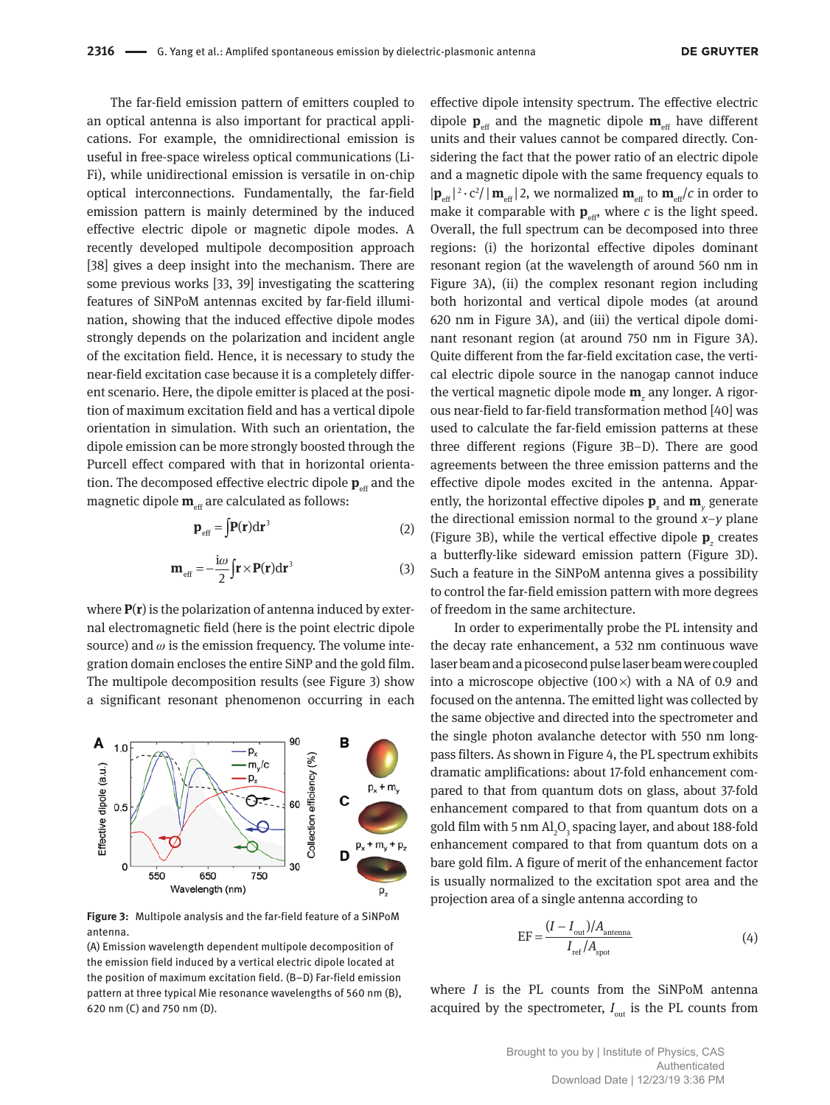The far-field emission pattern of emitters coupled to an optical antenna is also important for practical applications. For example, the omnidirectional emission is useful in free-space wireless optical communications (Li-Fi), while unidirectional emission is versatile in on-chip optical interconnections. Fundamentally, the far-field emission pattern is mainly determined by the induced effective electric dipole or magnetic dipole modes. A recently developed multipole decomposition approach [38] gives a deep insight into the mechanism. There are some previous works [33, 39] investigating the scattering features of SiNPoM antennas excited by far-field illumination, showing that the induced effective dipole modes strongly depends on the polarization and incident angle of the excitation field. Hence, it is necessary to study the near-field excitation case because it is a completely different scenario. Here, the dipole emitter is placed at the position of maximum excitation field and has a vertical dipole orientation in simulation. With such an orientation, the dipole emission can be more strongly boosted through the Purcell effect compared with that in horizontal orientation. The decomposed effective electric dipole  $\mathbf{p}_{\text{eff}}$  and the magnetic dipole  $\mathbf{m}_{\text{eff}}$  are calculated as follows:

$$
\mathbf{p}_{\text{eff}} = \int \mathbf{P}(\mathbf{r}) d\mathbf{r}^3 \tag{2}
$$

$$
\mathbf{m}_{\text{eff}} = -\frac{\mathbf{i}\omega}{2} \mathbf{\int} \mathbf{r} \times \mathbf{P}(\mathbf{r}) d\mathbf{r}^3 \tag{3}
$$

where **P**(**r**) is the polarization of antenna induced by external electromagnetic field (here is the point electric dipole source) and  $\omega$  is the emission frequency. The volume integration domain encloses the entire SiNP and the gold film. The multipole decomposition results (see Figure 3) show a significant resonant phenomenon occurring in each



**Figure 3:** Multipole analysis and the far-field feature of a SiNPoM antenna.

(A) Emission wavelength dependent multipole decomposition of the emission field induced by a vertical electric dipole located at the position of maximum excitation field. (B–D) Far-field emission pattern at three typical Mie resonance wavelengths of 560 nm (B), 620 nm (C) and 750 nm (D).

effective dipole intensity spectrum. The effective electric dipole  $\mathbf{p}_{\text{eff}}$  and the magnetic dipole  $\mathbf{m}_{\text{eff}}$  have different units and their values cannot be compared directly. Considering the fact that the power ratio of an electric dipole and a magnetic dipole with the same frequency equals to  $|\mathbf{p}_{\text{eff}}|^2 \cdot c^2 / |\mathbf{m}_{\text{eff}}|$  2, we normalized  $\mathbf{m}_{\text{eff}}$  to  $\mathbf{m}_{\text{eff}}/c$  in order to make it comparable with  $\mathbf{p}_{\text{eff}}$ , where *c* is the light speed. Overall, the full spectrum can be decomposed into three regions: (i) the horizontal effective dipoles dominant resonant region (at the wavelength of around 560 nm in Figure 3A), (ii) the complex resonant region including both horizontal and vertical dipole modes (at around 620 nm in Figure 3A), and (iii) the vertical dipole dominant resonant region (at around 750 nm in Figure 3A). Quite different from the far-field excitation case, the vertical electric dipole source in the nanogap cannot induce the vertical magnetic dipole mode **m***<sup>z</sup>* any longer. A rigorous near-field to far-field transformation method [40] was used to calculate the far-field emission patterns at these three different regions (Figure 3B–D). There are good agreements between the three emission patterns and the effective dipole modes excited in the antenna. Apparently, the horizontal effective dipoles **p***<sup>x</sup>* and **m***<sup>y</sup>* generate the directional emission normal to the ground  $x-y$  plane (Figure 3B), while the vertical effective dipole  $\mathbf{p}_z$  creates a butterfly-like sideward emission pattern (Figure 3D). Such a feature in the SiNPoM antenna gives a possibility to control the far-field emission pattern with more degrees of freedom in the same architecture.

In order to experimentally probe the PL intensity and the decay rate enhancement, a 532 nm continuous wave laser beam and a picosecond pulse laser beam were coupled into a microscope objective  $(100\times)$  with a NA of 0.9 and focused on the antenna. The emitted light was collected by the same objective and directed into the spectrometer and the single photon avalanche detector with 550 nm longpass filters. As shown in Figure 4, the PL spectrum exhibits dramatic amplifications: about 17-fold enhancement compared to that from quantum dots on glass, about 37-fold enhancement compared to that from quantum dots on a gold film with 5 nm  $\mathrm{Al}_2\mathrm{O}_3$  spacing layer, and about 188-fold enhancement compared to that from quantum dots on a bare gold film. A figure of merit of the enhancement factor is usually normalized to the excitation spot area and the projection area of a single antenna according to

$$
EF = \frac{(I - I_{\text{out}})/A_{\text{antenna}}}{I_{\text{ref}}/A_{\text{spot}}}
$$
(4)

where *I* is the PL counts from the SiNPoM antenna acquired by the spectrometer,  $I_{\text{out}}$  is the PL counts from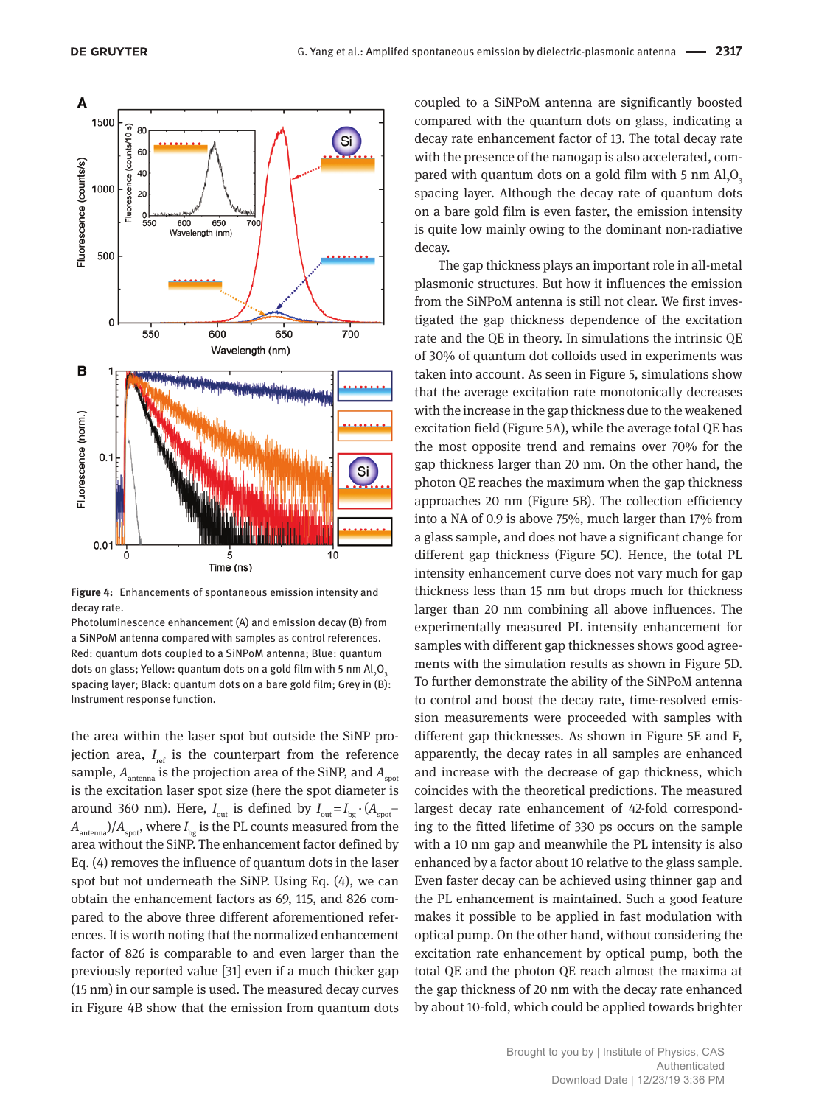

**Figure 4:** Enhancements of spontaneous emission intensity and decay rate.

Photoluminescence enhancement (A) and emission decay (B) from a SiNPoM antenna compared with samples as control references. Red: quantum dots coupled to a SiNPoM antenna; Blue: quantum dots on glass; Yellow: quantum dots on a gold film with 5 nm Al $_2$ O $_3$ spacing layer; Black: quantum dots on a bare gold film; Grey in (B): Instrument response function.

the area within the laser spot but outside the SiNP projection area, *I*<sub>ref</sub> is the counterpart from the reference sample,  $A_{\text{antenna}}$  is the projection area of the SiNP, and  $A_{\text{spot}}$ is the excitation laser spot size (here the spot diameter is around 360 nm). Here,  $I_{\text{out}}$  is defined by  $I_{\text{out}} = I_{\text{bg}} \cdot (A_{\text{spot}} A<sub>antenna</sub>$ )/ $A<sub>spot</sub>$ , where  $I<sub>bc</sub>$  is the PL counts measured from the area without the SiNP. The enhancement factor defined by Eq. (4) removes the influence of quantum dots in the laser spot but not underneath the SiNP. Using Eq. (4), we can obtain the enhancement factors as 69, 115, and 826 compared to the above three different aforementioned references. It is worth noting that the normalized enhancement factor of 826 is comparable to and even larger than the previously reported value [31] even if a much thicker gap (15 nm) in our sample is used. The measured decay curves in Figure 4B show that the emission from quantum dots

coupled to a SiNPoM antenna are significantly boosted compared with the quantum dots on glass, indicating a decay rate enhancement factor of 13. The total decay rate with the presence of the nanogap is also accelerated, compared with quantum dots on a gold film with 5 nm  $\mathrm{Al}_2\mathrm{O}_\mathrm{g}$ spacing layer. Although the decay rate of quantum dots on a bare gold film is even faster, the emission intensity is quite low mainly owing to the dominant non-radiative decay.

The gap thickness plays an important role in all-metal plasmonic structures. But how it influences the emission from the SiNPoM antenna is still not clear. We first investigated the gap thickness dependence of the excitation rate and the QE in theory. In simulations the intrinsic QE of 30% of quantum dot colloids used in experiments was taken into account. As seen in Figure 5, simulations show that the average excitation rate monotonically decreases with the increase in the gap thickness due to the weakened excitation field (Figure 5A), while the average total QE has the most opposite trend and remains over 70% for the gap thickness larger than 20 nm. On the other hand, the photon QE reaches the maximum when the gap thickness approaches 20 nm (Figure 5B). The collection efficiency into a NA of 0.9 is above 75%, much larger than 17% from a glass sample, and does not have a significant change for different gap thickness (Figure 5C). Hence, the total PL intensity enhancement curve does not vary much for gap thickness less than 15 nm but drops much for thickness larger than 20 nm combining all above influences. The experimentally measured PL intensity enhancement for samples with different gap thicknesses shows good agreements with the simulation results as shown in Figure 5D. To further demonstrate the ability of the SiNPoM antenna to control and boost the decay rate, time-resolved emission measurements were proceeded with samples with different gap thicknesses. As shown in Figure 5E and F, apparently, the decay rates in all samples are enhanced and increase with the decrease of gap thickness, which coincides with the theoretical predictions. The measured largest decay rate enhancement of 42-fold corresponding to the fitted lifetime of 330 ps occurs on the sample with a 10 nm gap and meanwhile the PL intensity is also enhanced by a factor about 10 relative to the glass sample. Even faster decay can be achieved using thinner gap and the PL enhancement is maintained. Such a good feature makes it possible to be applied in fast modulation with optical pump. On the other hand, without considering the excitation rate enhancement by optical pump, both the total QE and the photon QE reach almost the maxima at the gap thickness of 20 nm with the decay rate enhanced by about 10-fold, which could be applied towards brighter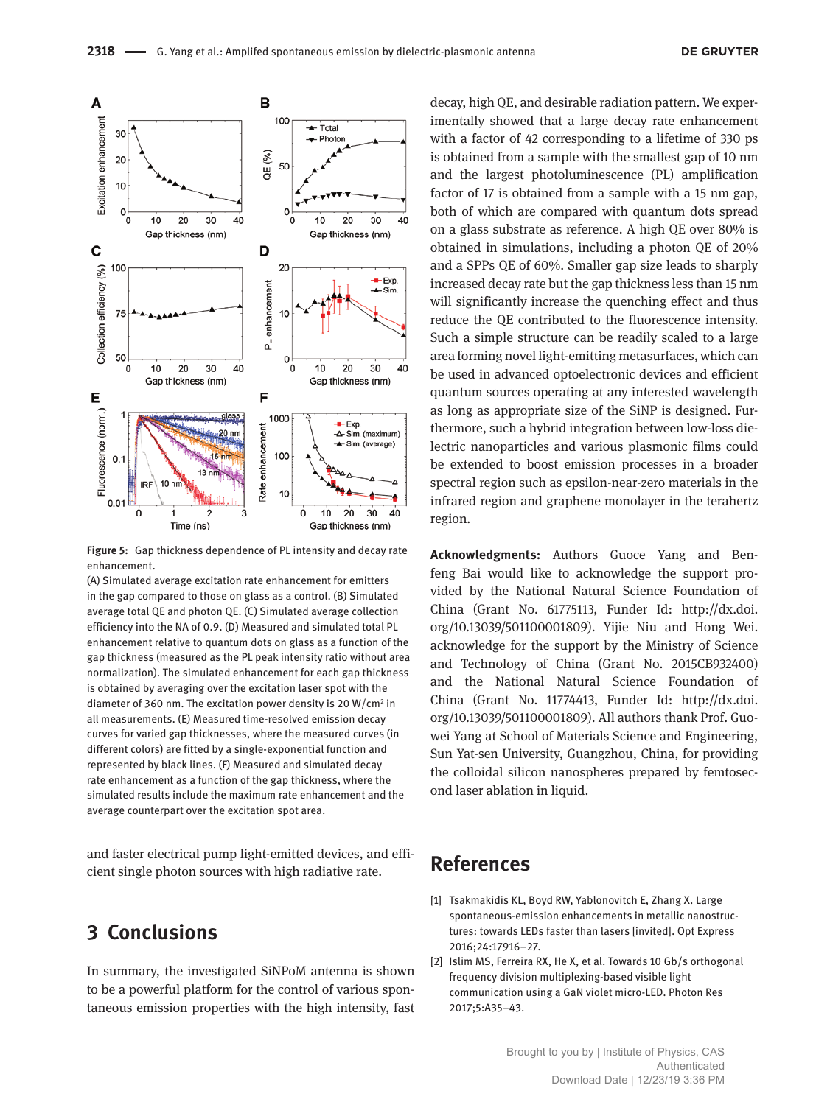

**Figure 5:** Gap thickness dependence of PL intensity and decay rate enhancement.

(A) Simulated average excitation rate enhancement for emitters in the gap compared to those on glass as a control. (B) Simulated average total QE and photon QE. (C) Simulated average collection efficiency into the NA of 0.9. (D) Measured and simulated total PL enhancement relative to quantum dots on glass as a function of the gap thickness (measured as the PL peak intensity ratio without area normalization). The simulated enhancement for each gap thickness is obtained by averaging over the excitation laser spot with the diameter of 360 nm. The excitation power density is 20 W/cm<sup>2</sup> in all measurements. (E) Measured time-resolved emission decay curves for varied gap thicknesses, where the measured curves (in different colors) are fitted by a single-exponential function and represented by black lines. (F) Measured and simulated decay rate enhancement as a function of the gap thickness, where the simulated results include the maximum rate enhancement and the average counterpart over the excitation spot area.

and faster electrical pump light-emitted devices, and efficient single photon sources with high radiative rate.

## **3 Conclusions**

In summary, the investigated SiNPoM antenna is shown to be a powerful platform for the control of various spontaneous emission properties with the high intensity, fast

decay, high QE, and desirable radiation pattern. We experimentally showed that a large decay rate enhancement with a factor of 42 corresponding to a lifetime of 330 ps is obtained from a sample with the smallest gap of 10 nm and the largest photoluminescence (PL) amplification factor of 17 is obtained from a sample with a 15 nm gap, both of which are compared with quantum dots spread on a glass substrate as reference. A high QE over 80% is obtained in simulations, including a photon QE of 20% and a SPPs QE of 60%. Smaller gap size leads to sharply increased decay rate but the gap thickness less than 15 nm will significantly increase the quenching effect and thus reduce the QE contributed to the fluorescence intensity. Such a simple structure can be readily scaled to a large area forming novel light-emitting metasurfaces, which can be used in advanced optoelectronic devices and efficient quantum sources operating at any interested wavelength as long as appropriate size of the SiNP is designed. Furthermore, such a hybrid integration between low-loss dielectric nanoparticles and various plasmonic films could be extended to boost emission processes in a broader spectral region such as epsilon-near-zero materials in the infrared region and graphene monolayer in the terahertz region.

**Acknowledgments:** Authors Guoce Yang and Benfeng Bai would like to acknowledge the support provided by the National Natural Science Foundation of China (Grant No. 61775113, Funder Id: [http://dx.doi.](http://dx.doi.org/10.13039/501100001809) [org/10.13039/501100001809\)](http://dx.doi.org/10.13039/501100001809). Yijie Niu and Hong Wei. acknowledge for the support by the Ministry of Science and Technology of China (Grant No. 2015CB932400) and the National Natural Science Foundation of China (Grant No. 11774413, Funder Id: [http://dx.doi.](http://dx.doi.org/10.13039/501100001809) [org/10.13039/501100001809\)](http://dx.doi.org/10.13039/501100001809). All authors thank Prof. Guowei Yang at School of Materials Science and Engineering, Sun Yat-sen University, Guangzhou, China, for providing the colloidal silicon nanospheres prepared by femtosecond laser ablation in liquid.

# **References**

- [1] Tsakmakidis KL, Boyd RW, Yablonovitch E, Zhang X. Large spontaneous-emission enhancements in metallic nanostructures: towards LEDs faster than lasers [invited]. Opt Express 2016;24:17916–27.
- [2] Islim MS, Ferreira RX, He X, et al. Towards 10 Gb/s orthogonal frequency division multiplexing-based visible light communication using a GaN violet micro-LED. Photon Res 2017;5:A35–43.